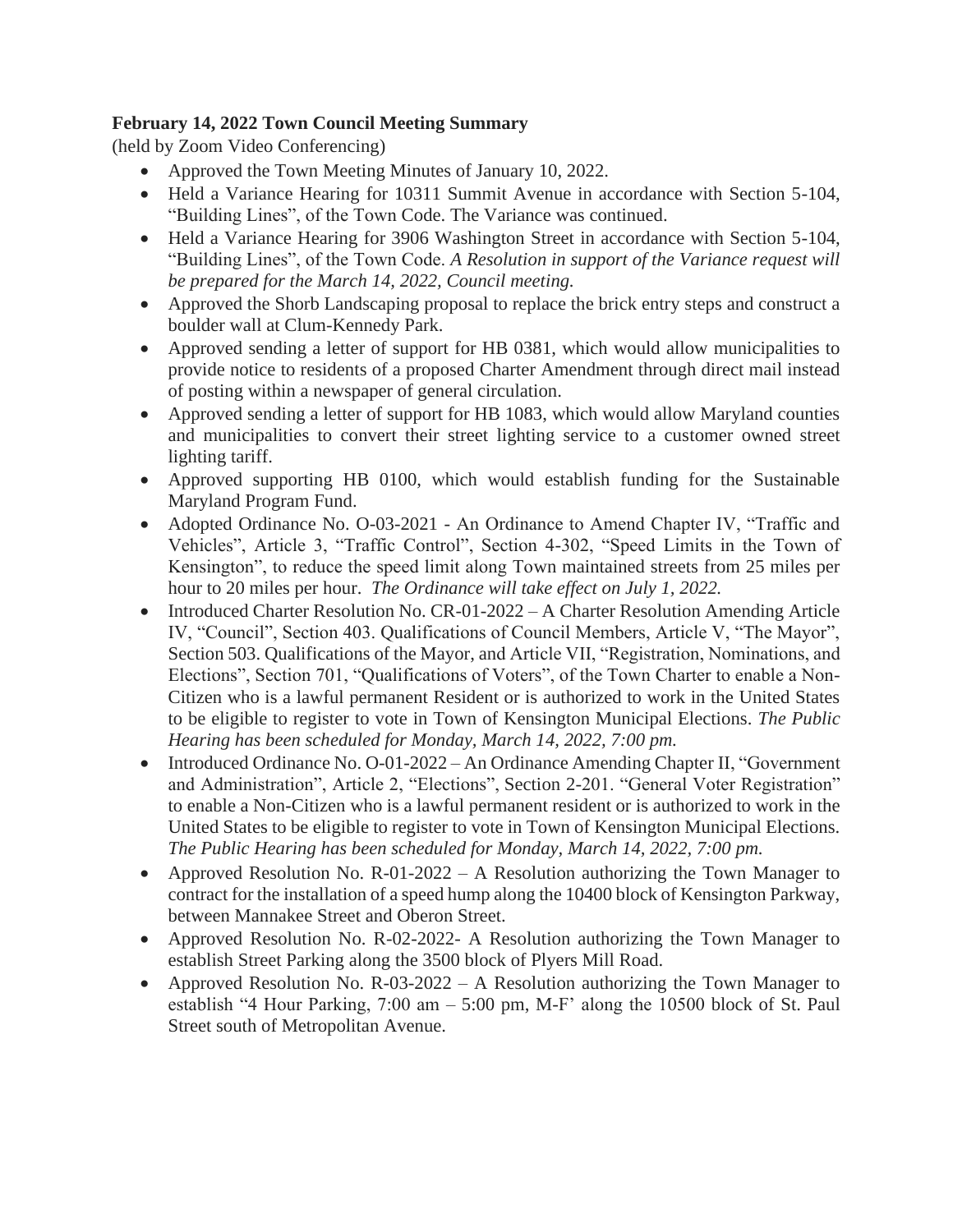# **February 14, 2022 Town Council Meeting Summary**

(held by Zoom Video Conferencing)

- Approved the Town Meeting Minutes of January 10, 2022.
- Held a Variance Hearing for 10311 Summit Avenue in accordance with Section 5-104, "Building Lines", of the Town Code. The Variance was continued.
- Held a Variance Hearing for 3906 Washington Street in accordance with Section 5-104, "Building Lines", of the Town Code. *A Resolution in support of the Variance request will be prepared for the March 14, 2022, Council meeting.*
- Approved the Shorb Landscaping proposal to replace the brick entry steps and construct a boulder wall at Clum-Kennedy Park.
- Approved sending a letter of support for HB 0381, which would allow municipalities to provide notice to residents of a proposed Charter Amendment through direct mail instead of posting within a newspaper of general circulation.
- Approved sending a letter of support for HB 1083, which would allow Maryland counties and municipalities to convert their street lighting service to a customer owned street lighting tariff.
- Approved supporting HB 0100, which would establish funding for the Sustainable Maryland Program Fund.
- Adopted [Ordinance No. O-03-2021](https://r20.rs6.net/tn.jsp?f=001EBSEqxPC1U9bI58t8OSLBacfNxE7D5avL9Lk9jcF__7_UyS-f2HRa-yFdX5UBUXy1QEjA3_Xie_h2tqiuDVOGqdZ9lFS4qNGkX87qM6stXO4UuSfpHH9tmNg576hIMkpmW4wLJok8ZQg1xx049o2AxNrfflD3XPkzgAkersFg4fqyfTYOzzJ9eK0OImHNEbaSjKItYillvcplkTUvLAzGFNXA5V127UPImel0YeTleE=&c=hADr0gbrrfUKYidNlZ-i3NHAnI1EhsOiepfgjX-DUqaWjOyPYrNJWA==&ch=ji3UYYDb0iQ1f39CXQQ6ovui_EQEr8vZbc6iQczIC_3Y6QbbWC1P0g==) An Ordinance to Amend Chapter IV, "Traffic and Vehicles", Article 3, "Traffic Control", Section 4-302, "Speed Limits in the Town of Kensington", to reduce the speed limit along Town maintained streets from 25 miles per hour to 20 miles per hour. *The Ordinance will take effect on July 1, 2022.*
- Introduced [Charter Resolution No. CR-01-2022](https://r20.rs6.net/tn.jsp?f=001EBSEqxPC1U9bI58t8OSLBacfNxE7D5avL9Lk9jcF__7_UyS-f2HRa0pIEu5Y47gedhOjm5fTuT0iOHpNaVW4u6gURFOqN5quysYfehej7taJphCs5v9lHssiQcz1ygeEj_krelH7LRtieiu_wNY7-2UbbN3S_Jnb4OBZzxie4Gc_YBUKb01dEXpi_bemLLx-JmPp-zSRQNpndvC2cMf9RYqGRvPEb0sAdi4gETMi1qwxQXI_svuAO_3WultrgCsu&c=hADr0gbrrfUKYidNlZ-i3NHAnI1EhsOiepfgjX-DUqaWjOyPYrNJWA==&ch=ji3UYYDb0iQ1f39CXQQ6ovui_EQEr8vZbc6iQczIC_3Y6QbbWC1P0g==) A Charter Resolution Amending Article IV, "Council", Section 403. Qualifications of Council Members, Article V, "The Mayor", Section 503. Qualifications of the Mayor, and Article VII, "Registration, Nominations, and Elections", Section 701, "Qualifications of Voters", of the Town Charter to enable a Non-Citizen who is a lawful permanent Resident or is authorized to work in the United States to be eligible to register to vote in Town of Kensington Municipal Elections. *The Public Hearing has been scheduled for Monday, March 14, 2022, 7:00 pm.*
- Introduced [Ordinance No. O-01-2022](https://r20.rs6.net/tn.jsp?f=001EBSEqxPC1U9bI58t8OSLBacfNxE7D5avL9Lk9jcF__7_UyS-f2HRa0pIEu5Y47get2si7yxs0ZcHVDcKiLdSRZhl9vc69preOzrjkA-sulK_bM3hi85Sy1ZAiotDteOzcuAu3cgnU5OgBywiYe--oAr8zAwId0K93tntmC4C1fUvhmk_72g62uRkWisST-t0T1dkmhJe8PUqpmD28FMiFgL0k-XMx5KRc7SrTCJZkQqA7OV0dIq1WUlYatehOTZL&c=hADr0gbrrfUKYidNlZ-i3NHAnI1EhsOiepfgjX-DUqaWjOyPYrNJWA==&ch=ji3UYYDb0iQ1f39CXQQ6ovui_EQEr8vZbc6iQczIC_3Y6QbbWC1P0g==) An Ordinance Amending Chapter II, "Government" and Administration", Article 2, "Elections", Section 2-201. "General Voter Registration" to enable a Non-Citizen who is a lawful permanent resident or is authorized to work in the United States to be eligible to register to vote in Town of Kensington Municipal Elections. *The Public Hearing has been scheduled for Monday, March 14, 2022, 7:00 pm.*
- Approved Resolution No. R-01-2022 A Resolution authorizing the Town Manager to contract for the installation of a speed hump along the 10400 block of Kensington Parkway, between Mannakee Street and Oberon Street.
- Approved Resolution No. R-02-2022- A Resolution authorizing the Town Manager to establish Street Parking along the 3500 block of Plyers Mill Road.
- Approved Resolution No. R-03-2022 A Resolution authorizing the Town Manager to establish "4 Hour Parking, 7:00 am – 5:00 pm, M-F' along the 10500 block of St. Paul Street south of Metropolitan Avenue.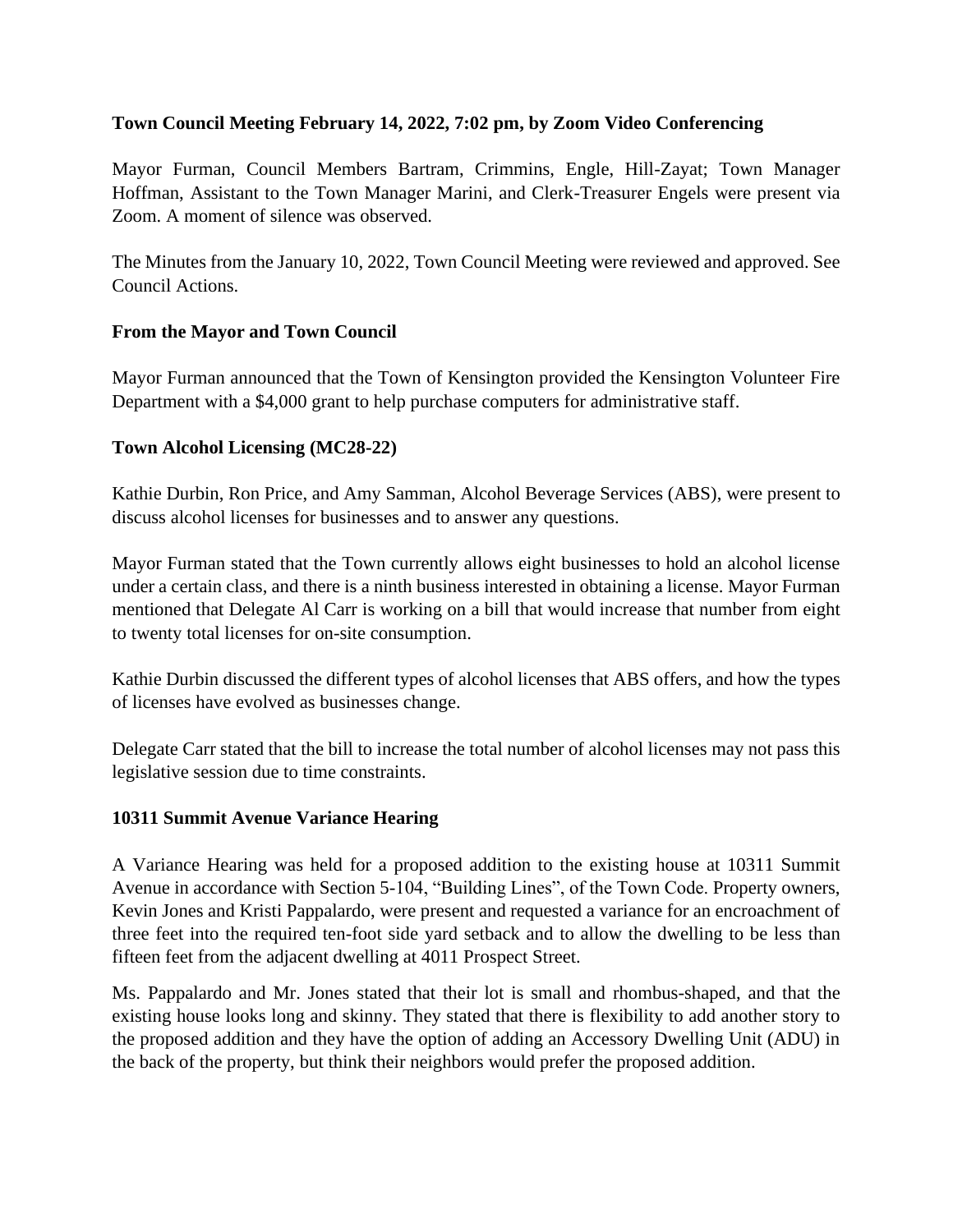# **Town Council Meeting February 14, 2022, 7:02 pm, by Zoom Video Conferencing**

Mayor Furman, Council Members Bartram, Crimmins, Engle, Hill-Zayat; Town Manager Hoffman, Assistant to the Town Manager Marini, and Clerk-Treasurer Engels were present via Zoom. A moment of silence was observed.

The Minutes from the January 10, 2022, Town Council Meeting were reviewed and approved. See Council Actions.

# **From the Mayor and Town Council**

Mayor Furman announced that the Town of Kensington provided the Kensington Volunteer Fire Department with a \$4,000 grant to help purchase computers for administrative staff.

#### **Town Alcohol Licensing (MC28-22)**

Kathie Durbin, Ron Price, and Amy Samman, Alcohol Beverage Services (ABS), were present to discuss alcohol licenses for businesses and to answer any questions.

Mayor Furman stated that the Town currently allows eight businesses to hold an alcohol license under a certain class, and there is a ninth business interested in obtaining a license. Mayor Furman mentioned that Delegate Al Carr is working on a bill that would increase that number from eight to twenty total licenses for on-site consumption.

Kathie Durbin discussed the different types of alcohol licenses that ABS offers, and how the types of licenses have evolved as businesses change.

Delegate Carr stated that the bill to increase the total number of alcohol licenses may not pass this legislative session due to time constraints.

# **10311 Summit Avenue Variance Hearing**

A Variance Hearing was held for a proposed addition to the existing house at 10311 Summit Avenue in accordance with Section 5-104, "Building Lines", of the Town Code. Property owners, Kevin Jones and Kristi Pappalardo, were present and requested a variance for an encroachment of three feet into the required ten-foot side yard setback and to allow the dwelling to be less than fifteen feet from the adjacent dwelling at 4011 Prospect Street.

Ms. Pappalardo and Mr. Jones stated that their lot is small and rhombus-shaped, and that the existing house looks long and skinny. They stated that there is flexibility to add another story to the proposed addition and they have the option of adding an Accessory Dwelling Unit (ADU) in the back of the property, but think their neighbors would prefer the proposed addition.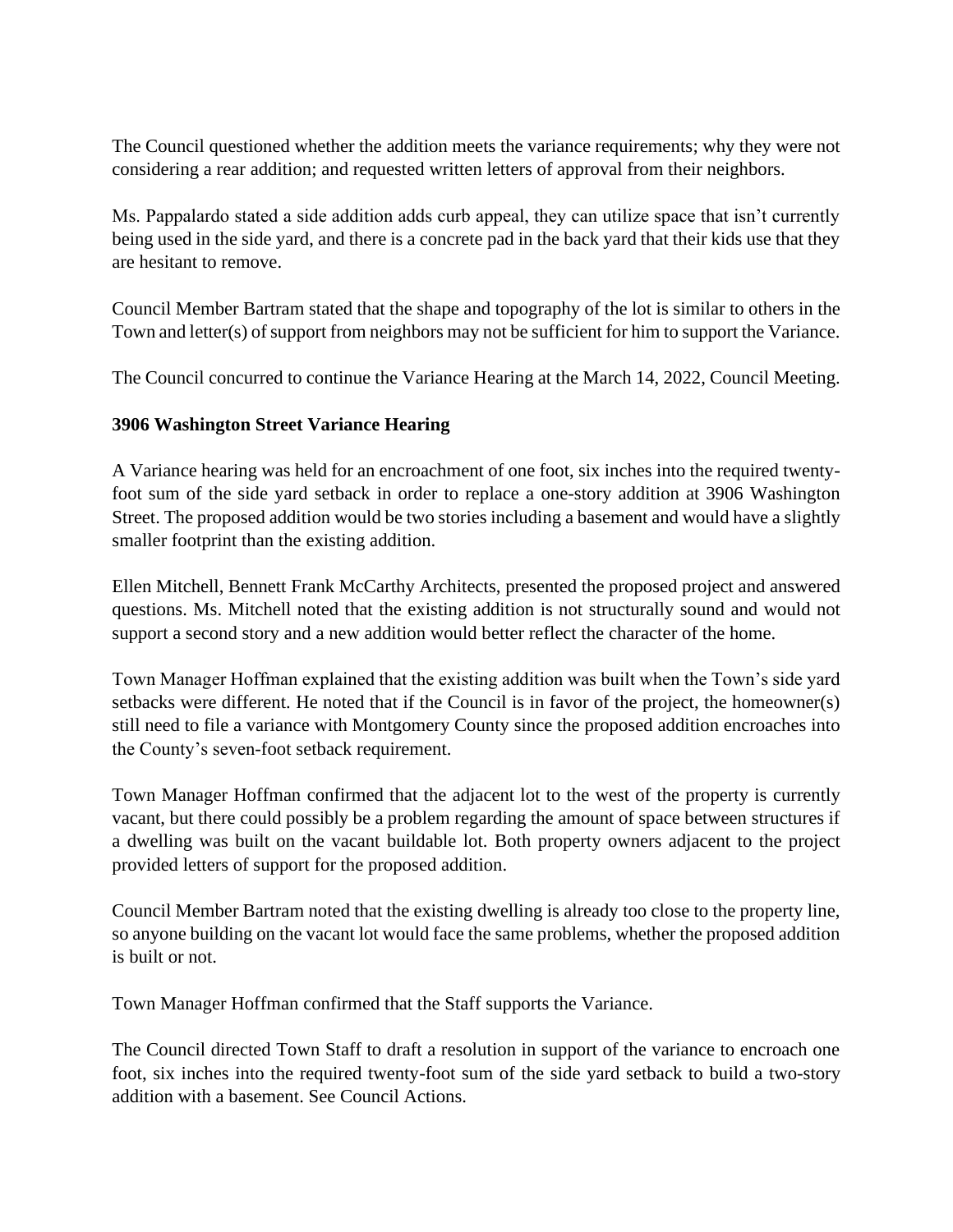The Council questioned whether the addition meets the variance requirements; why they were not considering a rear addition; and requested written letters of approval from their neighbors.

Ms. Pappalardo stated a side addition adds curb appeal, they can utilize space that isn't currently being used in the side yard, and there is a concrete pad in the back yard that their kids use that they are hesitant to remove.

Council Member Bartram stated that the shape and topography of the lot is similar to others in the Town and letter(s) of support from neighbors may not be sufficient for him to support the Variance.

The Council concurred to continue the Variance Hearing at the March 14, 2022, Council Meeting.

# **3906 Washington Street Variance Hearing**

A Variance hearing was held for an encroachment of one foot, six inches into the required twentyfoot sum of the side yard setback in order to replace a one-story addition at 3906 Washington Street. The proposed addition would be two stories including a basement and would have a slightly smaller footprint than the existing addition.

Ellen Mitchell, Bennett Frank McCarthy Architects, presented the proposed project and answered questions. Ms. Mitchell noted that the existing addition is not structurally sound and would not support a second story and a new addition would better reflect the character of the home.

Town Manager Hoffman explained that the existing addition was built when the Town's side yard setbacks were different. He noted that if the Council is in favor of the project, the homeowner(s) still need to file a variance with Montgomery County since the proposed addition encroaches into the County's seven-foot setback requirement.

Town Manager Hoffman confirmed that the adjacent lot to the west of the property is currently vacant, but there could possibly be a problem regarding the amount of space between structures if a dwelling was built on the vacant buildable lot. Both property owners adjacent to the project provided letters of support for the proposed addition.

Council Member Bartram noted that the existing dwelling is already too close to the property line, so anyone building on the vacant lot would face the same problems, whether the proposed addition is built or not.

Town Manager Hoffman confirmed that the Staff supports the Variance.

The Council directed Town Staff to draft a resolution in support of the variance to encroach one foot, six inches into the required twenty-foot sum of the side yard setback to build a two-story addition with a basement. See Council Actions.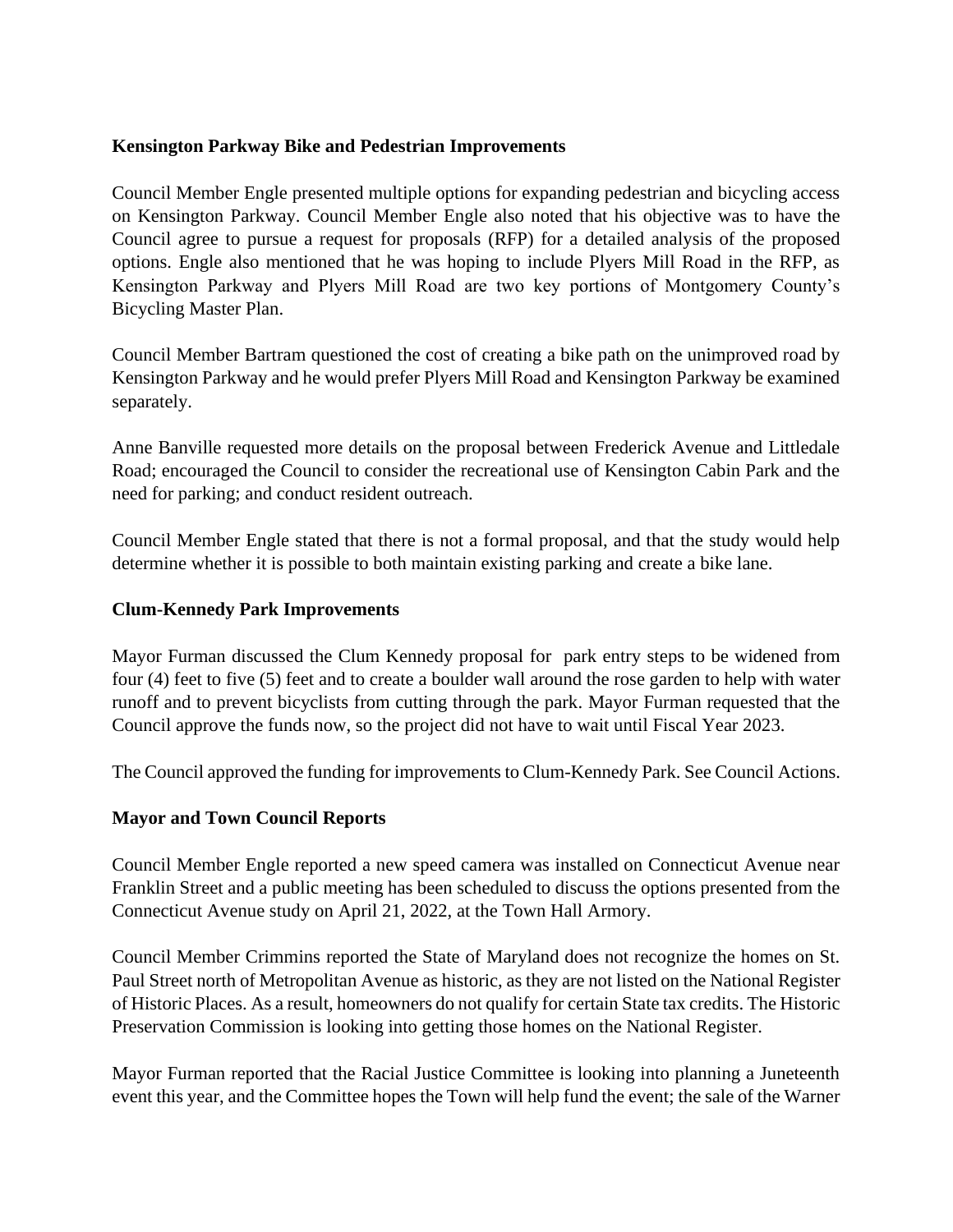### **Kensington Parkway Bike and Pedestrian Improvements**

Council Member Engle presented multiple options for expanding pedestrian and bicycling access on Kensington Parkway. Council Member Engle also noted that his objective was to have the Council agree to pursue a request for proposals (RFP) for a detailed analysis of the proposed options. Engle also mentioned that he was hoping to include Plyers Mill Road in the RFP, as Kensington Parkway and Plyers Mill Road are two key portions of Montgomery County's Bicycling Master Plan.

Council Member Bartram questioned the cost of creating a bike path on the unimproved road by Kensington Parkway and he would prefer Plyers Mill Road and Kensington Parkway be examined separately.

Anne Banville requested more details on the proposal between Frederick Avenue and Littledale Road; encouraged the Council to consider the recreational use of Kensington Cabin Park and the need for parking; and conduct resident outreach.

Council Member Engle stated that there is not a formal proposal, and that the study would help determine whether it is possible to both maintain existing parking and create a bike lane.

### **Clum-Kennedy Park Improvements**

Mayor Furman discussed the Clum Kennedy proposal for park entry steps to be widened from four (4) feet to five (5) feet and to create a boulder wall around the rose garden to help with water runoff and to prevent bicyclists from cutting through the park. Mayor Furman requested that the Council approve the funds now, so the project did not have to wait until Fiscal Year 2023.

The Council approved the funding for improvements to Clum-Kennedy Park. See Council Actions.

# **Mayor and Town Council Reports**

Council Member Engle reported a new speed camera was installed on Connecticut Avenue near Franklin Street and a public meeting has been scheduled to discuss the options presented from the Connecticut Avenue study on April 21, 2022, at the Town Hall Armory.

Council Member Crimmins reported the State of Maryland does not recognize the homes on St. Paul Street north of Metropolitan Avenue as historic, as they are not listed on the National Register of Historic Places. As a result, homeowners do not qualify for certain State tax credits. The Historic Preservation Commission is looking into getting those homes on the National Register.

Mayor Furman reported that the Racial Justice Committee is looking into planning a Juneteenth event this year, and the Committee hopes the Town will help fund the event; the sale of the Warner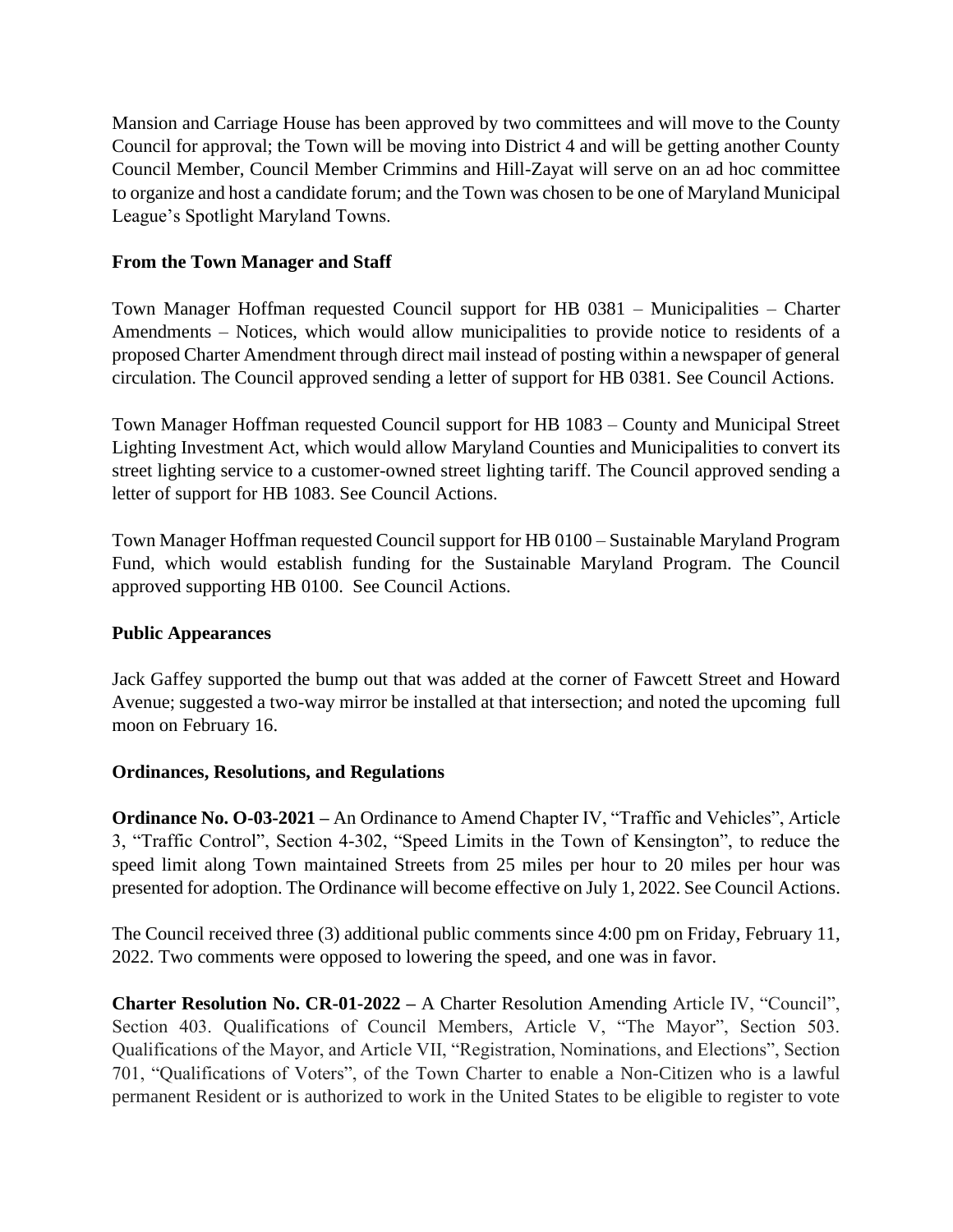Mansion and Carriage House has been approved by two committees and will move to the County Council for approval; the Town will be moving into District 4 and will be getting another County Council Member, Council Member Crimmins and Hill-Zayat will serve on an ad hoc committee to organize and host a candidate forum; and the Town was chosen to be one of Maryland Municipal League's Spotlight Maryland Towns.

### **From the Town Manager and Staff**

Town Manager Hoffman requested Council support for HB 0381 – Municipalities – Charter Amendments – Notices, which would allow municipalities to provide notice to residents of a proposed Charter Amendment through direct mail instead of posting within a newspaper of general circulation. The Council approved sending a letter of support for HB 0381. See Council Actions.

Town Manager Hoffman requested Council support for HB 1083 – County and Municipal Street Lighting Investment Act, which would allow Maryland Counties and Municipalities to convert its street lighting service to a customer-owned street lighting tariff. The Council approved sending a letter of support for HB 1083. See Council Actions.

Town Manager Hoffman requested Council support for HB 0100 – Sustainable Maryland Program Fund, which would establish funding for the Sustainable Maryland Program. The Council approved supporting HB 0100. See Council Actions.

#### **Public Appearances**

Jack Gaffey supported the bump out that was added at the corner of Fawcett Street and Howard Avenue; suggested a two-way mirror be installed at that intersection; and noted the upcoming full moon on February 16.

#### **Ordinances, Resolutions, and Regulations**

**Ordinance No. O-03-2021 –** An Ordinance to Amend Chapter IV, "Traffic and Vehicles", Article 3, "Traffic Control", Section 4-302, "Speed Limits in the Town of Kensington", to reduce the speed limit along Town maintained Streets from 25 miles per hour to 20 miles per hour was presented for adoption. The Ordinance will become effective on July 1, 2022. See Council Actions.

The Council received three (3) additional public comments since 4:00 pm on Friday, February 11, 2022. Two comments were opposed to lowering the speed, and one was in favor.

**Charter Resolution No. CR-01-2022 –** A Charter Resolution Amending Article IV, "Council", Section 403. Qualifications of Council Members, Article V, "The Mayor", Section 503. Qualifications of the Mayor, and Article VII, "Registration, Nominations, and Elections", Section 701, "Qualifications of Voters", of the Town Charter to enable a Non-Citizen who is a lawful permanent Resident or is authorized to work in the United States to be eligible to register to vote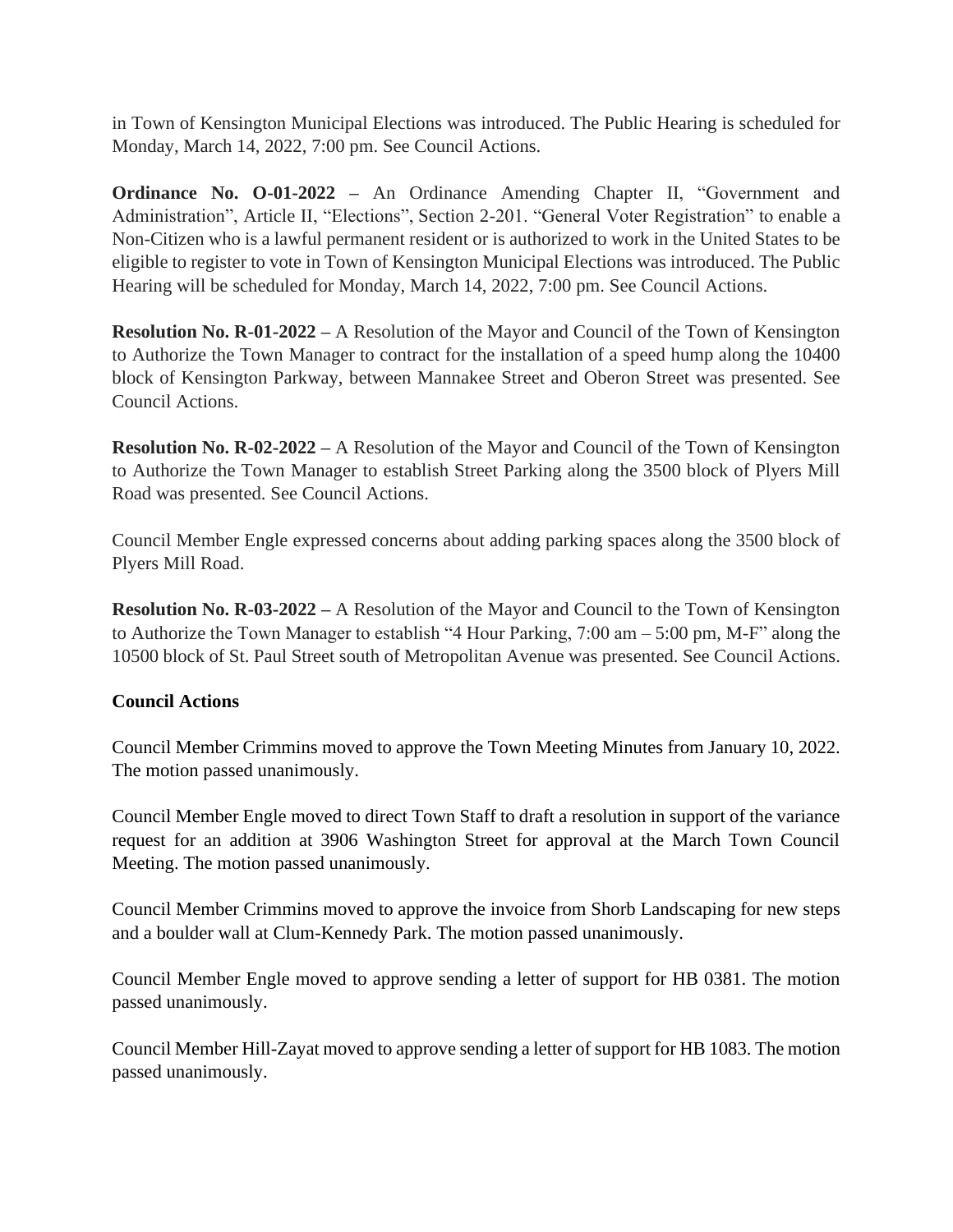in Town of Kensington Municipal Elections was introduced. The Public Hearing is scheduled for Monday, March 14, 2022, 7:00 pm. See Council Actions.

**Ordinance No. O-01-2022 –** An Ordinance Amending Chapter II, "Government and Administration", Article II, "Elections", Section 2-201. "General Voter Registration" to enable a Non-Citizen who is a lawful permanent resident or is authorized to work in the United States to be eligible to register to vote in Town of Kensington Municipal Elections was introduced. The Public Hearing will be scheduled for Monday, March 14, 2022, 7:00 pm. See Council Actions.

**Resolution No. R-01-2022 –** A Resolution of the Mayor and Council of the Town of Kensington to Authorize the Town Manager to contract for the installation of a speed hump along the 10400 block of Kensington Parkway, between Mannakee Street and Oberon Street was presented. See Council Actions.

**Resolution No. R-02-2022 –** A Resolution of the Mayor and Council of the Town of Kensington to Authorize the Town Manager to establish Street Parking along the 3500 block of Plyers Mill Road was presented. See Council Actions.

Council Member Engle expressed concerns about adding parking spaces along the 3500 block of Plyers Mill Road.

**Resolution No. R-03-2022 –** A Resolution of the Mayor and Council to the Town of Kensington to Authorize the Town Manager to establish "4 Hour Parking, 7:00 am – 5:00 pm, M-F" along the 10500 block of St. Paul Street south of Metropolitan Avenue was presented. See Council Actions.

# **Council Actions**

Council Member Crimmins moved to approve the Town Meeting Minutes from January 10, 2022. The motion passed unanimously.

Council Member Engle moved to direct Town Staff to draft a resolution in support of the variance request for an addition at 3906 Washington Street for approval at the March Town Council Meeting. The motion passed unanimously.

Council Member Crimmins moved to approve the invoice from Shorb Landscaping for new steps and a boulder wall at Clum-Kennedy Park. The motion passed unanimously.

Council Member Engle moved to approve sending a letter of support for HB 0381. The motion passed unanimously.

Council Member Hill-Zayat moved to approve sending a letter of support for HB 1083. The motion passed unanimously.